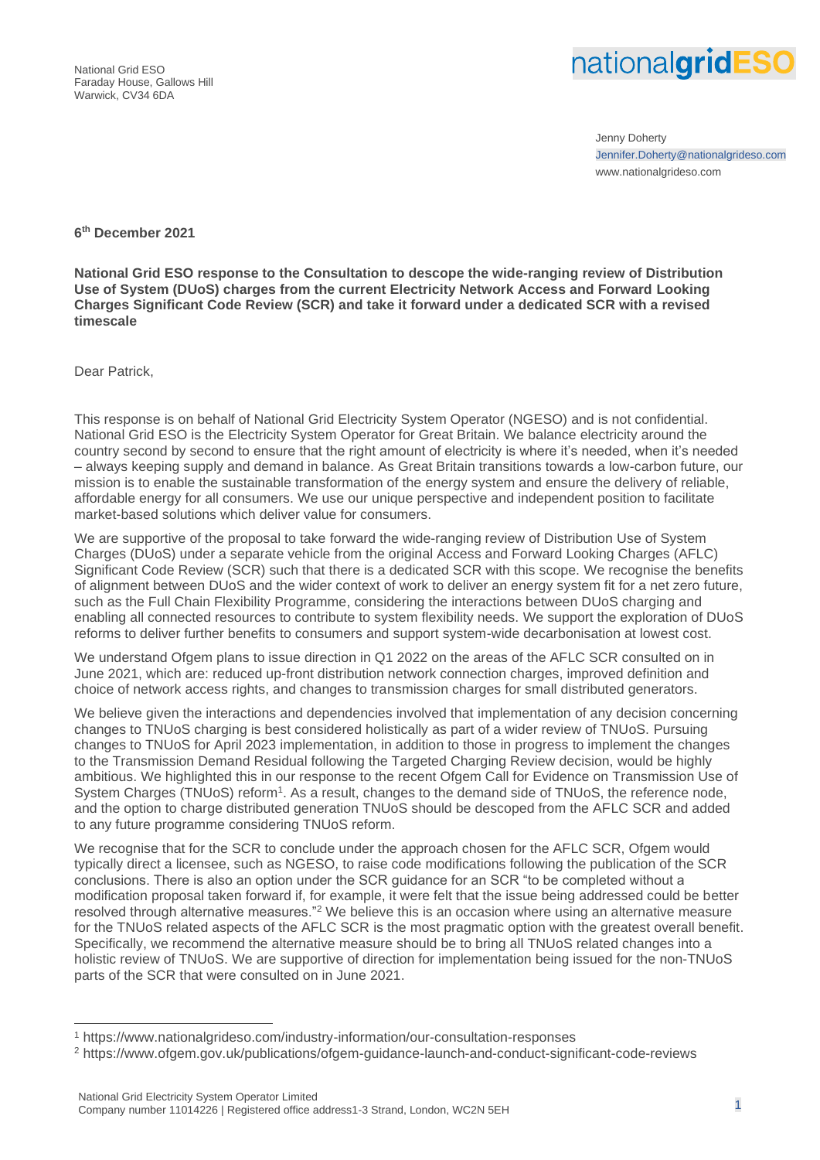National Grid ESO Faraday House, Gallows Hill Warwick, CV34 6DA



Jenny Doherty Jennifer.Doherty@nationalgrideso.com www.nationalgrideso.com

## **6 th December 2021**

**National Grid ESO response to the Consultation to descope the wide-ranging review of Distribution Use of System (DUoS) charges from the current Electricity Network Access and Forward Looking Charges Significant Code Review (SCR) and take it forward under a dedicated SCR with a revised timescale**

Dear Patrick,

This response is on behalf of National Grid Electricity System Operator (NGESO) and is not confidential. National Grid ESO is the Electricity System Operator for Great Britain. We balance electricity around the country second by second to ensure that the right amount of electricity is where it's needed, when it's needed – always keeping supply and demand in balance. As Great Britain transitions towards a low-carbon future, our mission is to enable the sustainable transformation of the energy system and ensure the delivery of reliable, affordable energy for all consumers. We use our unique perspective and independent position to facilitate market-based solutions which deliver value for consumers.

We are supportive of the proposal to take forward the wide-ranging review of Distribution Use of System Charges (DUoS) under a separate vehicle from the original Access and Forward Looking Charges (AFLC) Significant Code Review (SCR) such that there is a dedicated SCR with this scope. We recognise the benefits of alignment between DUoS and the wider context of work to deliver an energy system fit for a net zero future, such as the Full Chain Flexibility Programme, considering the interactions between DUoS charging and enabling all connected resources to contribute to system flexibility needs. We support the exploration of DUoS reforms to deliver further benefits to consumers and support system-wide decarbonisation at lowest cost.

We understand Ofgem plans to issue direction in Q1 2022 on the areas of the AFLC SCR consulted on in June 2021, which are: reduced up-front distribution network connection charges, improved definition and choice of network access rights, and changes to transmission charges for small distributed generators.

We believe given the interactions and dependencies involved that implementation of any decision concerning changes to TNUoS charging is best considered holistically as part of a wider review of TNUoS. Pursuing changes to TNUoS for April 2023 implementation, in addition to those in progress to implement the changes to the Transmission Demand Residual following the Targeted Charging Review decision, would be highly ambitious. We highlighted this in our response to the recent Ofgem Call for Evidence on Transmission Use of System Charges (TNUoS) reform<sup>1</sup>. As a result, changes to the demand side of TNUoS, the reference node, and the option to charge distributed generation TNUoS should be descoped from the AFLC SCR and added to any future programme considering TNUoS reform.

We recognise that for the SCR to conclude under the approach chosen for the AFLC SCR, Ofgem would typically direct a licensee, such as NGESO, to raise code modifications following the publication of the SCR conclusions. There is also an option under the SCR guidance for an SCR "to be completed without a modification proposal taken forward if, for example, it were felt that the issue being addressed could be better resolved through alternative measures."<sup>2</sup> We believe this is an occasion where using an alternative measure for the TNUoS related aspects of the AFLC SCR is the most pragmatic option with the greatest overall benefit. Specifically, we recommend the alternative measure should be to bring all TNUoS related changes into a holistic review of TNUoS. We are supportive of direction for implementation being issued for the non-TNUoS parts of the SCR that were consulted on in June 2021.

<sup>1</sup> https://www.nationalgrideso.com/industry-information/our-consultation-responses

<sup>2</sup> https://www.ofgem.gov.uk/publications/ofgem-guidance-launch-and-conduct-significant-code-reviews